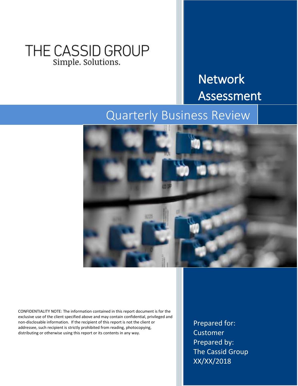## THE CASSID GROUP Simple. Solutions.

# Network Assessment

## Quarterly Business Review



CONFIDENTIALITY NOTE: The information contained in this report document is for the exclusive use of the client specified above and may contain confidential, privileged and non-disclosable information. If the recipient of this report is not the client or addressee, such recipient is strictly prohibited from reading, photocopying, distributing or otherwise using this report or its contents in any way.

Prepared for: Customer Prepared by: The Cassid Group XX/XX/2018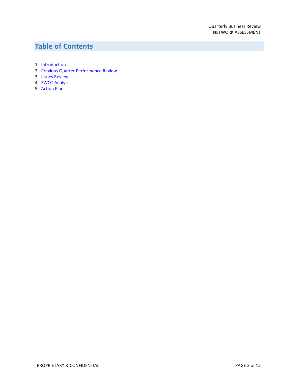## **Table of Contents**

- 1 [Introduction](#page-2-0)
- 2 [Previous Quarter Performance Review](#page-3-0)
- 3 [Issues Review](#page-7-0)
- 4 [SWOT Analysis](#page-10-0)
- 5 [Action Plan](#page-11-0)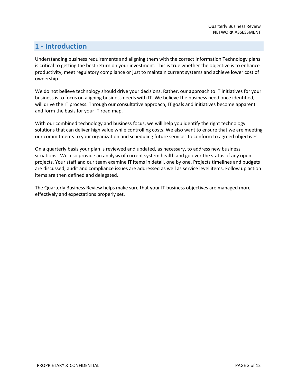## <span id="page-2-0"></span>**1 - Introduction**

Understanding business requirements and aligning them with the correct Information Technology plans is critical to getting the best return on your investment. This is true whether the objective is to enhance productivity, meet regulatory compliance or just to maintain current systems and achieve lower cost of ownership.

We do not believe technology should drive your decisions. Rather, our approach to IT initiatives for your business is to focus on aligning business needs with IT. We believe the business need once identified, will drive the IT process. Through our consultative approach, IT goals and initiatives become apparent and form the basis for your IT road map.

With our combined technology and business focus, we will help you identify the right technology solutions that can deliver high value while controlling costs. We also want to ensure that we are meeting our commitments to your organization and scheduling future services to conform to agreed objectives.

On a quarterly basis your plan is reviewed and updated, as necessary, to address new business situations. We also provide an analysis of current system health and go over the status of any open projects. Your staff and our team examine IT items in detail, one by one. Projects timelines and budgets are discussed; audit and compliance issues are addressed as well as service level items. Follow up action items are then defined and delegated.

The Quarterly Business Review helps make sure that your IT business objectives are managed more effectively and expectations properly set.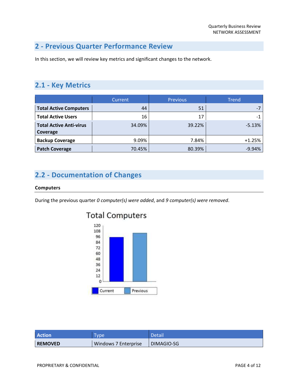## <span id="page-3-0"></span>**2 - Previous Quarter Performance Review**

In this section, we will review key metrics and significant changes to the network.

### **2.1 - Key Metrics**

|                                            | Current | <b>Previous</b> | <b>Trend</b> |
|--------------------------------------------|---------|-----------------|--------------|
| <b>Total Active Computers</b>              | 44      | 51              |              |
| <b>Total Active Users</b>                  | 16      | 17              | $-1$         |
| <b>Total Active Anti-virus</b><br>Coverage | 34.09%  | 39.22%          | $-5.13%$     |
| <b>Backup Coverage</b>                     | 9.09%   | 7.84%           | $+1.25%$     |
| <b>Patch Coverage</b>                      | 70.45%  | 80.39%          | $-9.94%$     |

## **2.2 - Documentation of Changes**

#### **Computers**

During the previous quarter *0 computer(s) were added*, and *9 computer(s) were removed*.



| <b>Action</b>  | <b>VDe</b>           | Detail     |
|----------------|----------------------|------------|
| <b>REMOVED</b> | Windows 7 Enterprise | DIMAGIO-SG |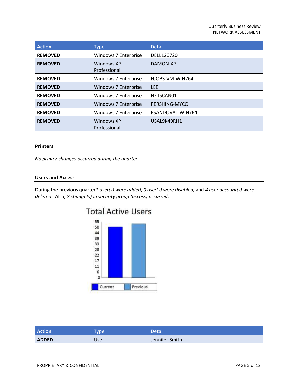| <b>Action</b>  | <b>Type</b>                 | <b>Detail</b>    |
|----------------|-----------------------------|------------------|
| <b>REMOVED</b> | Windows 7 Enterprise        | DELL120720       |
| <b>REMOVED</b> | Windows XP<br>Professional  | DAMON-XP         |
| <b>REMOVED</b> | Windows 7 Enterprise        | HJOBS-VM-WIN764  |
| <b>REMOVED</b> | <b>Windows 7 Enterprise</b> | <b>LEE</b>       |
| <b>REMOVED</b> | Windows 7 Enterprise        | NETSCAN01        |
| <b>REMOVED</b> | <b>Windows 7 Enterprise</b> | PERSHING-MYCO    |
| <b>REMOVED</b> | Windows 7 Enterprise        | PSANDOVAL-WIN764 |
| <b>REMOVED</b> | Windows XP<br>Professional  | USAL9K49RH1      |

#### **Printers**

*No printer changes occurred during the quarter*

#### **Users and Access**

During the previous quarter*1 user(s) were added*, *0 user(s) were disabled*, and *4 user account(s) were deleted*. Also, *8 change(s) in security group (access) occurred*.



| <b>Action</b> | vpe  | Detail         |
|---------------|------|----------------|
| <b>ADDED</b>  | User | Jennifer Smith |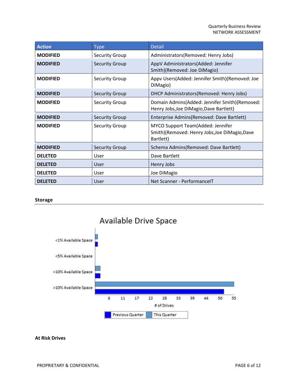| <b>Action</b>   | <b>Type</b>           | <b>Detail</b>                                                                                   |
|-----------------|-----------------------|-------------------------------------------------------------------------------------------------|
| <b>MODIFIED</b> | <b>Security Group</b> | Administrators(Removed: Henry Jobs)                                                             |
| <b>MODIFIED</b> | <b>Security Group</b> | AppV Administrators(Added: Jennifer<br>Smith)(Removed: Joe DiMagio)                             |
| <b>MODIFIED</b> | <b>Security Group</b> | Appv Users(Added: Jennifer Smith)(Removed: Joe<br>DiMagio)                                      |
| <b>MODIFIED</b> | <b>Security Group</b> | DHCP Administrators(Removed: Henry Jobs)                                                        |
| <b>MODIFIED</b> | <b>Security Group</b> | Domain Admins(Added: Jennifer Smith)(Removed:<br>Henry Jobs, Joe DiMagio, Dave Bartlett)        |
| <b>MODIFIED</b> | <b>Security Group</b> | Enterprise Admins(Removed: Dave Bartlett)                                                       |
| <b>MODIFIED</b> | <b>Security Group</b> | MYCO Support Team(Added: Jennifer<br>Smith)(Removed: Henry Jobs, Joe DiMagio, Dave<br>Bartlett) |
| <b>MODIFIED</b> | <b>Security Group</b> | Schema Admins (Removed: Dave Bartlett)                                                          |
| <b>DELETED</b>  | User                  | Dave Bartlett                                                                                   |
| <b>DELETED</b>  | User                  | Henry Jobs                                                                                      |
| <b>DELETED</b>  | User                  | Joe DiMagio                                                                                     |
| <b>DELETED</b>  | User                  | Net Scanner - PerformanceIT                                                                     |

#### **Storage**



#### **At Risk Drives**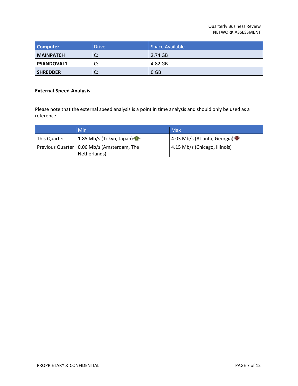| <b>Computer</b>   | <b>Drive</b>       | Space Available |
|-------------------|--------------------|-----------------|
| <b>MAINPATCH</b>  | C:                 | 2.74 GB         |
| <b>PSANDOVAL1</b> | r.<br>J.           | 4.82 GB         |
| <b>SHREDDER</b>   | $\mathsf{C}$<br>J. | 0 <sub>GB</sub> |

#### **External Speed Analysis**

Please note that the external speed analysis is a point in time analysis and should only be used as a reference.

|              | Min                                          | <b>Max</b>                    |
|--------------|----------------------------------------------|-------------------------------|
| This Quarter | 1.85 Mb/s (Tokyo, Japan)                     | 4.03 Mb/s (Atlanta, Georgia)  |
|              | Previous Quarter   0.06 Mb/s (Amsterdam, The | 4.15 Mb/s (Chicago, Illinois) |
|              | Netherlands)                                 |                               |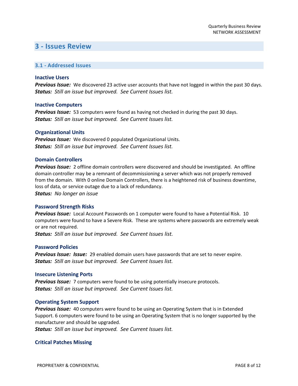### <span id="page-7-0"></span>**3 - Issues Review**

#### **3.1 - Addressed Issues**

#### **Inactive Users**

*Previous Issue:* We discovered 23 active user accounts that have not logged in within the past 30 days. *Status: Still an issue but improved. See Current Issues list.*

#### **Inactive Computers**

*Previous Issue:* 53 computers were found as having not checked in during the past 30 days. *Status: Still an issue but improved. See Current Issues list.*

#### **Organizational Units**

*Previous Issue:* We discovered 0 populated Organizational Units. *Status: Still an issue but improved. See Current Issues list.*

#### **Domain Controllers**

*Previous Issue:* 2 offline domain controllers were discovered and should be investigated. An offline domain controller may be a remnant of decommissioning a server which was not properly removed from the domain. With 0 online Domain Controllers, there is a heightened risk of business downtime, loss of data, or service outage due to a lack of redundancy. *Status: No longer an issue*

#### **Password Strength Risks**

*Previous Issue:* Local Account Passwords on 1 computer were found to have a Potential Risk. 10 computers were found to have a Severe Risk. These are systems where passwords are extremely weak or are not required.

*Status: Still an issue but improved. See Current Issues list.*

#### **Password Policies**

*Previous Issue: Issue:* 29 enabled domain users have passwords that are set to never expire. *Status: Still an issue but improved. See Current Issues list.*

#### **Insecure Listening Ports**

*Previous Issue:* 7 computers were found to be using potentially insecure protocols. *Status: Still an issue but improved. See Current Issues list.*

#### **Operating System Support**

*Previous Issue:* 40 computers were found to be using an Operating System that is in Extended Support. 6 computers were found to be using an Operating System that is no longer supported by the manufacturer and should be upgraded.

*Status: Still an issue but improved. See Current Issues list.*

#### **Critical Patches Missing**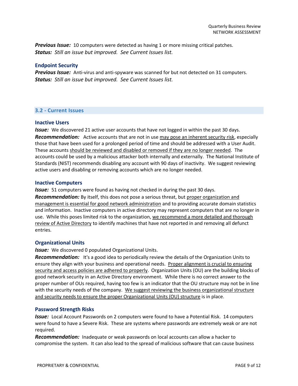*Previous Issue:* 10 computers were detected as having 1 or more missing critical patches. *Status: Still an issue but improved. See Current Issues list.*

#### **Endpoint Security**

*Previous Issue:* Anti-virus and anti-spyware was scanned for but not detected on 31 computers. *Status: Still an issue but improved. See Current Issues list.*

#### **3.2 - Current Issues**

#### **Inactive Users**

*Issue:* We discovered 21 active user accounts that have not logged in within the past 30 days. *Recommendation:* Active accounts that are not in use may pose an inherent security risk, especially those that have been used for a prolonged period of time and should be addressed with a User Audit. These accounts should be reviewed and disabled or removed if they are no longer needed. The accounts could be used by a malicious attacker both internally and externally. The National Institute of Standards (NIST) recommends disabling any account with 90 days of inactivity. We suggest reviewing active users and disabling or removing accounts which are no longer needed.

#### **Inactive Computers**

**Issue:** 51 computers were found as having not checked in during the past 30 days. *Recommendation:* By itself, this does not pose a serious threat, but proper organization and management is essential for good network administration and to providing accurate domain statistics and information. Inactive computers in active directory may represent computers that are no longer in use. While this poses limited risk to the organization, we recommend a more detailed and thorough review of Active Directory to identify machines that have not reported in and removing all defunct

#### **Organizational Units**

entries.

**Issue:** We discovered 0 populated Organizational Units.

**Recommendation:** It's a good idea to periodically review the details of the Organization Units to ensure they align with your business and operational needs. Proper alignment is crucial to ensuring security and access policies are adhered to properly. Organization Units (OU) are the building blocks of good network security in an Active Directory environment. While there is no correct answer to the proper number of OUs required, having too few is an indicator that the OU structure may not be in line with the security needs of the company. We suggest reviewing the business organizational structure and security needs to ensure the proper Organizational Units (OU) structure is in place.

#### **Password Strength Risks**

*Issue:* Local Account Passwords on 2 computers were found to have a Potential Risk. 14 computers were found to have a Severe Risk. These are systems where passwords are extremely weak or are not required.

*Recommendation:* Inadequate or weak passwords on local accounts can allow a hacker to compromise the system. It can also lead to the spread of malicious software that can cause business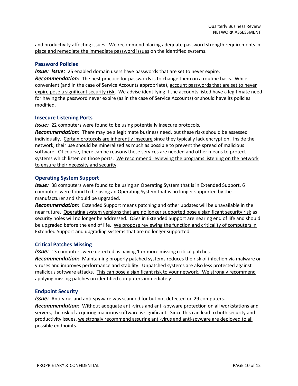and productivity affecting issues. We recommend placing adequate password strength requirements in place and remediate the immediate password issues on the identified systems.

#### **Password Policies**

*Issue: Issue:* 25 enabled domain users have passwords that are set to never expire.

*Recommendation:* The best practice for passwords is to change them on a routine basis. While convenient (and in the case of Service Accounts appropriate), account passwords that are set to never expire pose a significant security risk. We advise identifying if the accounts listed have a legitimate need for having the password never expire (as in the case of Service Accounts) or should have its policies modified.

#### **Insecure Listening Ports**

**Issue:** 22 computers were found to be using potentially insecure protocols.

*Recommendation:* There may be a legitimate business need, but these risks should be assessed individually. Certain protocols are inherently insecure since they typically lack encryption. Inside the network, their use should be mineralized as much as possible to prevent the spread of malicious software. Of course, there can be reasons these services are needed and other means to protect systems which listen on those ports. We recommend reviewing the programs listening on the network to ensure their necessity and security.

#### **Operating System Support**

*Issue:* 38 computers were found to be using an Operating System that is in Extended Support. 6 computers were found to be using an Operating System that is no longer supported by the manufacturer and should be upgraded.

*Recommendation:* Extended Support means patching and other updates will be unavailable in the near future. Operating system versions that are no longer supported pose a significant security risk as security holes will no longer be addressed. OSes in Extended Support are nearing end of life and should be upgraded before the end of life. We propose reviewing the function and criticality of computers in Extended Support and upgrading systems that are no longer supported.

#### **Critical Patches Missing**

**Issue:** 13 computers were detected as having 1 or more missing critical patches.

*Recommendation:* Maintaining properly patched systems reduces the risk of infection via malware or viruses and improves performance and stability. Unpatched systems are also less protected against malicious software attacks. This can pose a significant risk to your network. We strongly recommend applying missing patches on identified computers immediately.

#### **Endpoint Security**

**Issue:** Anti-virus and anti-spyware was scanned for but not detected on 29 computers.

*Recommendation:* Without adequate anti-virus and anti-spyware protection on all workstations and servers, the risk of acquiring malicious software is significant. Since this can lead to both security and productivity issues, we strongly recommend assuring anti-virus and anti-spyware are deployed to all possible endpoints.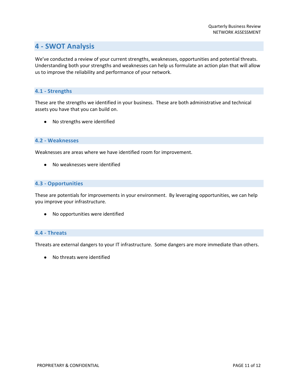## <span id="page-10-0"></span>**4 - SWOT Analysis**

We've conducted a review of your current strengths, weaknesses, opportunities and potential threats. Understanding both your strengths and weaknesses can help us formulate an action plan that will allow us to improve the reliability and performance of your network.

#### **4.1 - Strengths**

These are the strengths we identified in your business. These are both administrative and technical assets you have that you can build on.

● No strengths were identified

#### **4.2 - Weaknesses**

Weaknesses are areas where we have identified room for improvement.

● No weaknesses were identified

#### **4.3 - Opportunities**

These are potentials for improvements in your environment. By leveraging opportunities, we can help you improve your infrastructure.

● No opportunities were identified

#### **4.4 - Threats**

Threats are external dangers to your IT infrastructure. Some dangers are more immediate than others.

● No threats were identified